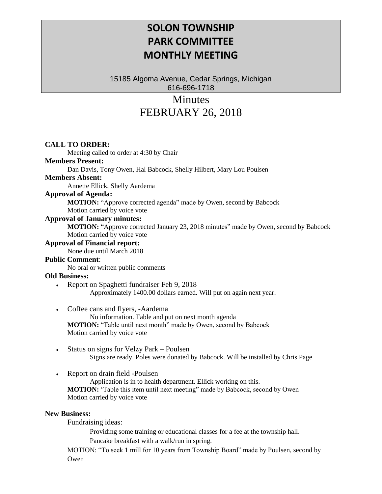# **SOLON TOWNSHIP PARK COMMITTEE MONTHLY MEETING**

15185 Algoma Avenue, Cedar Springs, Michigan 616-696-1718

# **Minutes** FEBRUARY 26, 2018

### **CALL TO ORDER:**

Meeting called to order at 4:30 by Chair

# **Members Present:**

Dan Davis, Tony Owen, Hal Babcock, Shelly Hilbert, Mary Lou Poulsen

#### **Members Absent:**

Annette Ellick, Shelly Aardema

# **Approval of Agenda:**

**MOTION:** "Approve corrected agenda" made by Owen, second by Babcock

Motion carried by voice vote

#### **Approval of January minutes:**

**MOTION:** "Approve corrected January 23, 2018 minutes" made by Owen, second by Babcock Motion carried by voice vote

#### **Approval of Financial report:**

None due until March 2018

#### **Public Comment**:

No oral or written public comments

### **Old Business:**

- Report on Spaghetti fundraiser Feb 9, 2018 Approximately 1400.00 dollars earned. Will put on again next year.
- Coffee cans and flyers, -Aardema

No information. Table and put on next month agenda **MOTION:** "Table until next month" made by Owen, second by Babcock Motion carried by voice vote

- Status on signs for Velzy Park Poulsen Signs are ready. Poles were donated by Babcock. Will be installed by Chris Page
- Report on drain field -Poulsen

Application is in to health department. Ellick working on this. **MOTION:** 'Table this item until next meeting" made by Babcock, second by Owen Motion carried by voice vote

#### **New Business:**

Fundraising ideas:

Providing some training or educational classes for a fee at the township hall. Pancake breakfast with a walk/run in spring.

MOTION: "To seek 1 mill for 10 years from Township Board" made by Poulsen, second by Owen